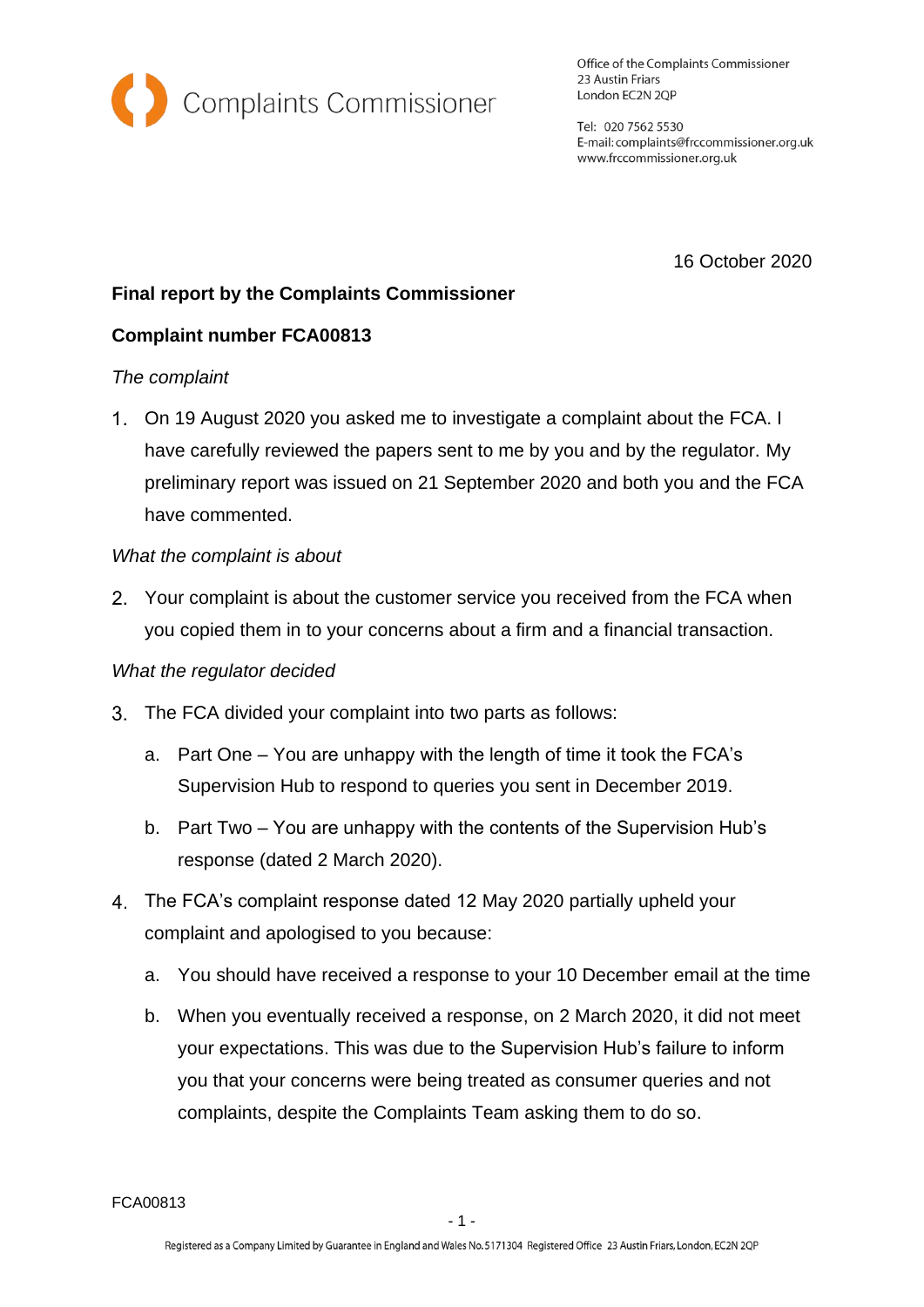

Office of the Complaints Commissioner 23 Austin Friars London EC2N 2QP

Tel: 020 7562 5530 E-mail: complaints@frccommissioner.org.uk www.frccommissioner.org.uk

16 October 2020

# **Final report by the Complaints Commissioner**

## **Complaint number FCA00813**

### *The complaint*

On 19 August 2020 you asked me to investigate a complaint about the FCA. I have carefully reviewed the papers sent to me by you and by the regulator. My preliminary report was issued on 21 September 2020 and both you and the FCA have commented.

### *What the complaint is about*

Your complaint is about the customer service you received from the FCA when you copied them in to your concerns about a firm and a financial transaction.

## *What the regulator decided*

- The FCA divided your complaint into two parts as follows:
	- a. Part One You are unhappy with the length of time it took the FCA's Supervision Hub to respond to queries you sent in December 2019.
	- b. Part Two You are unhappy with the contents of the Supervision Hub's response (dated 2 March 2020).
- The FCA's complaint response dated 12 May 2020 partially upheld your complaint and apologised to you because:
	- a. You should have received a response to your 10 December email at the time
	- b. When you eventually received a response, on 2 March 2020, it did not meet your expectations. This was due to the Supervision Hub's failure to inform you that your concerns were being treated as consumer queries and not complaints, despite the Complaints Team asking them to do so.

FCA00813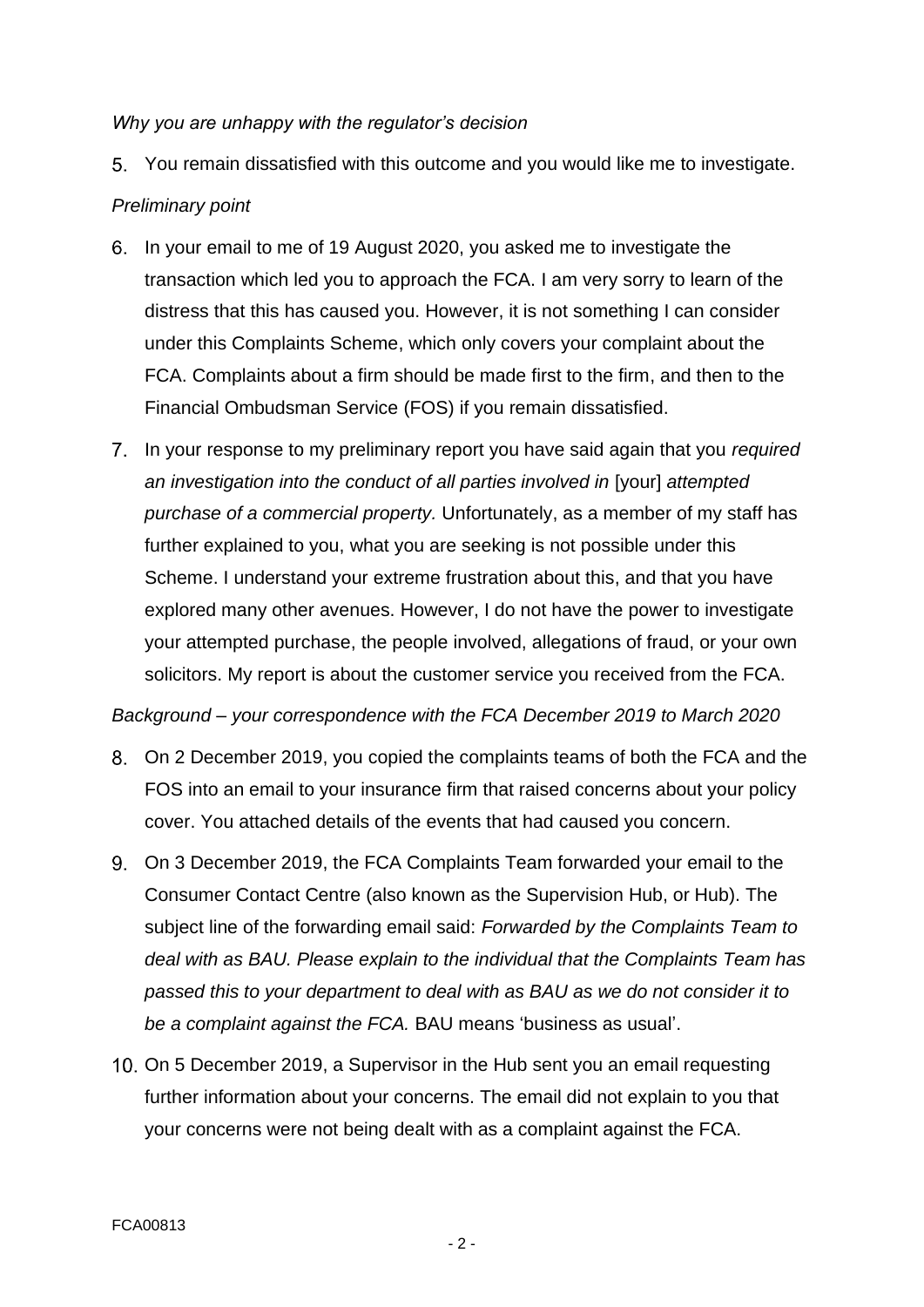#### *Why you are unhappy with the regulator's decision*

You remain dissatisfied with this outcome and you would like me to investigate.

### *Preliminary point*

- In your email to me of 19 August 2020, you asked me to investigate the transaction which led you to approach the FCA. I am very sorry to learn of the distress that this has caused you. However, it is not something I can consider under this Complaints Scheme, which only covers your complaint about the FCA. Complaints about a firm should be made first to the firm, and then to the Financial Ombudsman Service (FOS) if you remain dissatisfied.
- In your response to my preliminary report you have said again that you *required an investigation into the conduct of all parties involved in* [your] *attempted purchase of a commercial property.* Unfortunately, as a member of my staff has further explained to you, what you are seeking is not possible under this Scheme. I understand your extreme frustration about this, and that you have explored many other avenues. However, I do not have the power to investigate your attempted purchase, the people involved, allegations of fraud, or your own solicitors. My report is about the customer service you received from the FCA.

*Background – your correspondence with the FCA December 2019 to March 2020*

- On 2 December 2019, you copied the complaints teams of both the FCA and the FOS into an email to your insurance firm that raised concerns about your policy cover. You attached details of the events that had caused you concern.
- On 3 December 2019, the FCA Complaints Team forwarded your email to the Consumer Contact Centre (also known as the Supervision Hub, or Hub). The subject line of the forwarding email said: *Forwarded by the Complaints Team to deal with as BAU. Please explain to the individual that the Complaints Team has passed this to your department to deal with as BAU as we do not consider it to be a complaint against the FCA.* BAU means 'business as usual'.
- 10. On 5 December 2019, a Supervisor in the Hub sent you an email requesting further information about your concerns. The email did not explain to you that your concerns were not being dealt with as a complaint against the FCA.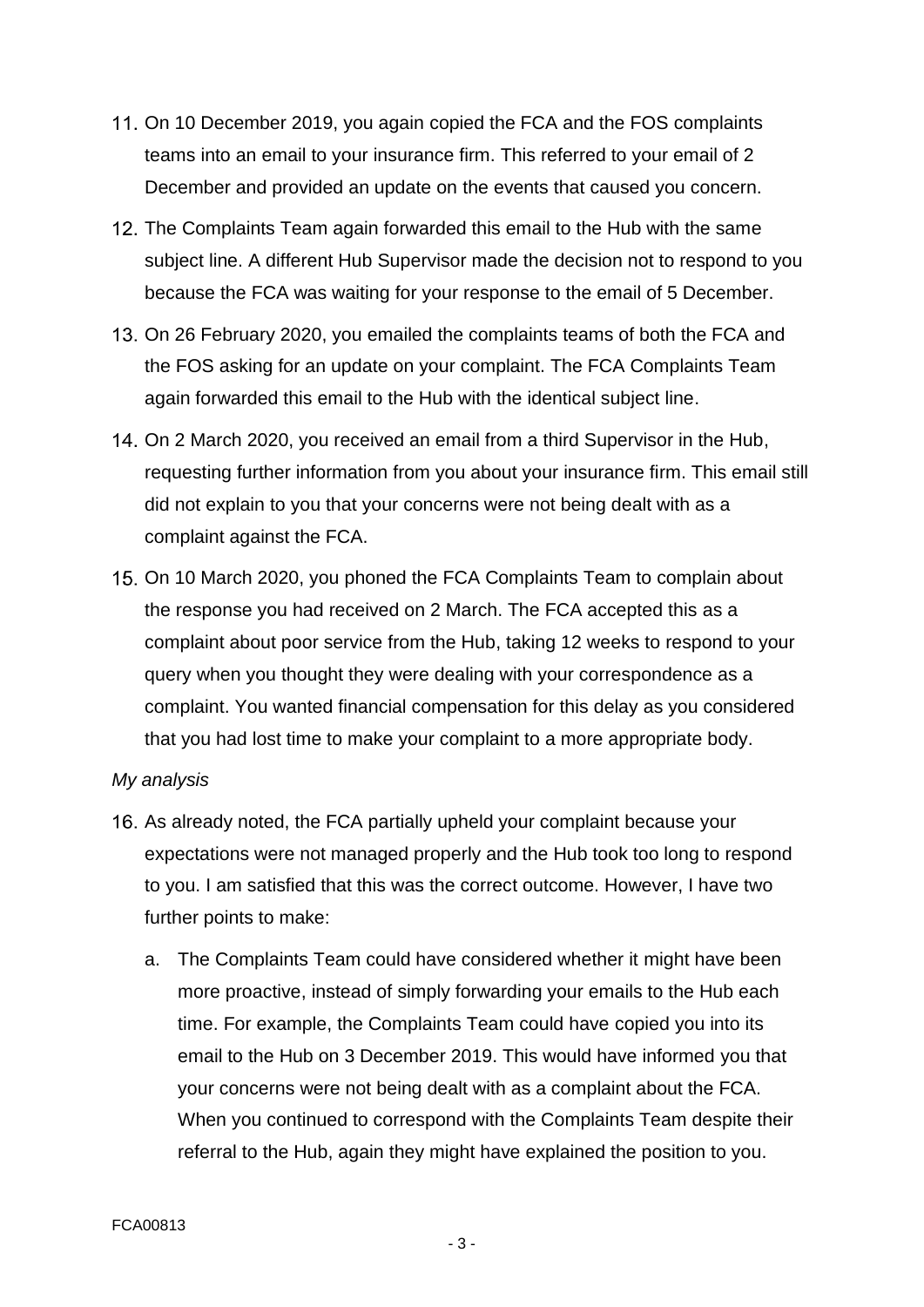- 11. On 10 December 2019, you again copied the FCA and the FOS complaints teams into an email to your insurance firm. This referred to your email of 2 December and provided an update on the events that caused you concern.
- 12. The Complaints Team again forwarded this email to the Hub with the same subject line. A different Hub Supervisor made the decision not to respond to you because the FCA was waiting for your response to the email of 5 December.
- 13. On 26 February 2020, you emailed the complaints teams of both the FCA and the FOS asking for an update on your complaint. The FCA Complaints Team again forwarded this email to the Hub with the identical subject line.
- 14. On 2 March 2020, you received an email from a third Supervisor in the Hub, requesting further information from you about your insurance firm. This email still did not explain to you that your concerns were not being dealt with as a complaint against the FCA.
- 15. On 10 March 2020, you phoned the FCA Complaints Team to complain about the response you had received on 2 March. The FCA accepted this as a complaint about poor service from the Hub, taking 12 weeks to respond to your query when you thought they were dealing with your correspondence as a complaint. You wanted financial compensation for this delay as you considered that you had lost time to make your complaint to a more appropriate body.

#### *My analysis*

- 16. As already noted, the FCA partially upheld your complaint because your expectations were not managed properly and the Hub took too long to respond to you. I am satisfied that this was the correct outcome. However, I have two further points to make:
	- a. The Complaints Team could have considered whether it might have been more proactive, instead of simply forwarding your emails to the Hub each time. For example, the Complaints Team could have copied you into its email to the Hub on 3 December 2019. This would have informed you that your concerns were not being dealt with as a complaint about the FCA. When you continued to correspond with the Complaints Team despite their referral to the Hub, again they might have explained the position to you.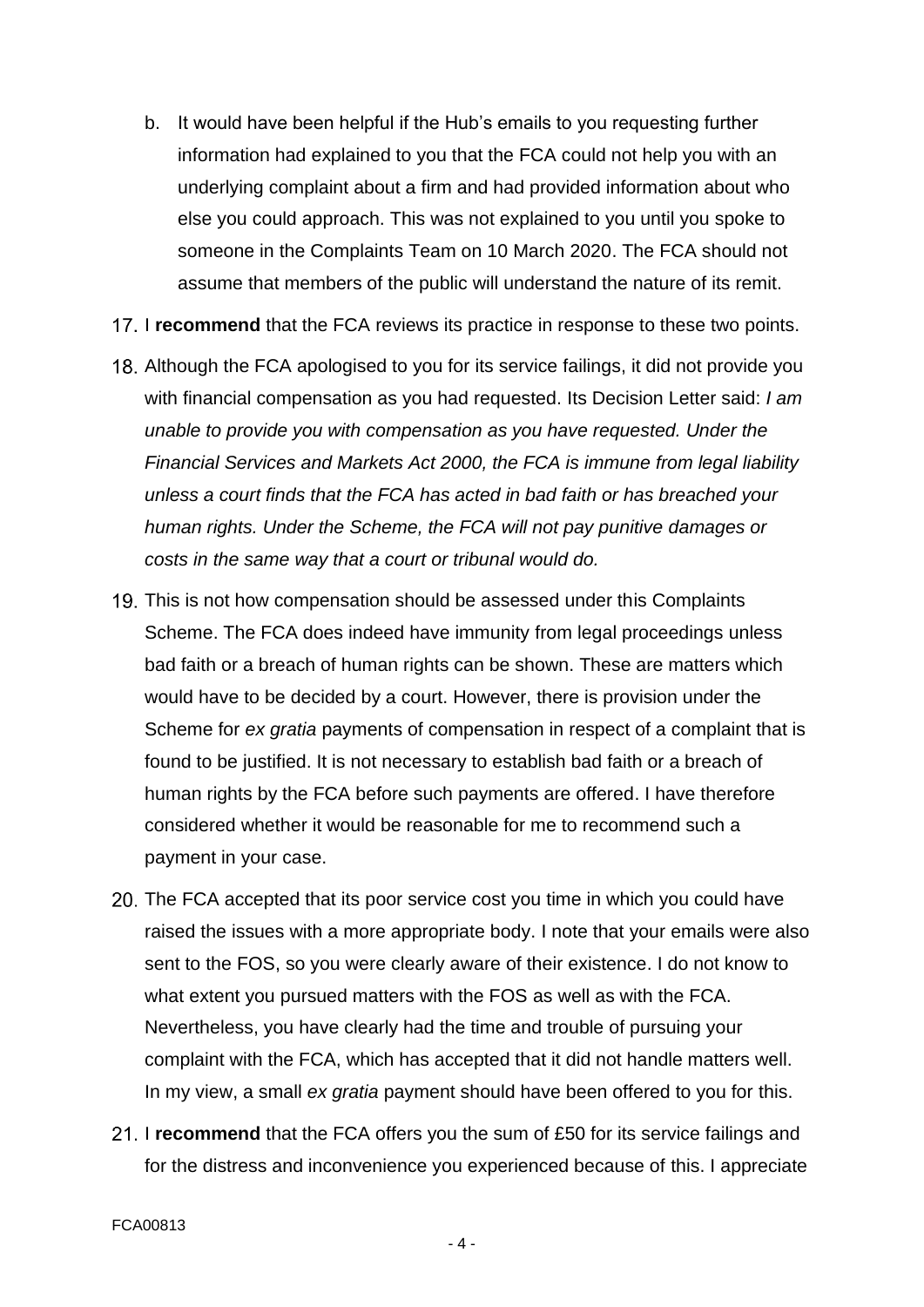- b. It would have been helpful if the Hub's emails to you requesting further information had explained to you that the FCA could not help you with an underlying complaint about a firm and had provided information about who else you could approach. This was not explained to you until you spoke to someone in the Complaints Team on 10 March 2020. The FCA should not assume that members of the public will understand the nature of its remit.
- 17. I recommend that the FCA reviews its practice in response to these two points.
- Although the FCA apologised to you for its service failings, it did not provide you with financial compensation as you had requested. Its Decision Letter said: *I am unable to provide you with compensation as you have requested. Under the Financial Services and Markets Act 2000, the FCA is immune from legal liability unless a court finds that the FCA has acted in bad faith or has breached your human rights. Under the Scheme, the FCA will not pay punitive damages or costs in the same way that a court or tribunal would do.*
- 19. This is not how compensation should be assessed under this Complaints Scheme. The FCA does indeed have immunity from legal proceedings unless bad faith or a breach of human rights can be shown. These are matters which would have to be decided by a court. However, there is provision under the Scheme for *ex gratia* payments of compensation in respect of a complaint that is found to be justified. It is not necessary to establish bad faith or a breach of human rights by the FCA before such payments are offered. I have therefore considered whether it would be reasonable for me to recommend such a payment in your case.
- 20. The FCA accepted that its poor service cost you time in which you could have raised the issues with a more appropriate body. I note that your emails were also sent to the FOS, so you were clearly aware of their existence. I do not know to what extent you pursued matters with the FOS as well as with the FCA. Nevertheless, you have clearly had the time and trouble of pursuing your complaint with the FCA, which has accepted that it did not handle matters well. In my view, a small *ex gratia* payment should have been offered to you for this.
- 21. I recommend that the FCA offers you the sum of £50 for its service failings and for the distress and inconvenience you experienced because of this. I appreciate